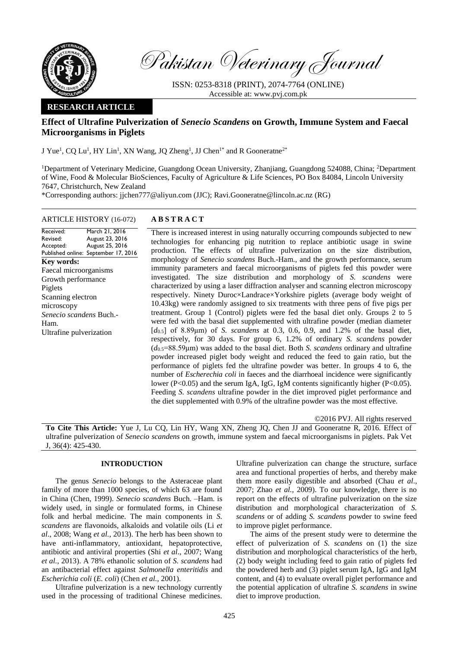

Pakistan Veterinary Journal

ISSN: 0253-8318 (PRINT), 2074-7764 (ONLINE) Accessible at: [www.pvj.com.pk](http://www.pvj.com.pk/)

# **RESEARCH ARTICLE**

# **Effect of Ultrafine Pulverization of** *Senecio Scandens* **on Growth, Immune System and Faecal Microorganisms in Piglets**

J Yue<sup>1</sup>, CQ Lu<sup>1</sup>, HY Lin<sup>1</sup>, XN Wang, JQ Zheng<sup>1</sup>, JJ Chen<sup>1\*</sup> and R Gooneratne<sup>2\*</sup>

<sup>1</sup>Department of Veterinary Medicine, Guangdong Ocean University, Zhanjiang, Guangdong 524088, China; <sup>2</sup>Department of Wine, Food & Molecular BioSciences, Faculty of Agriculture & Life Sciences, PO Box 84084, Lincoln University 7647, Christchurch, New Zealand

\*Corresponding authors: jjchen777@aliyun.com (JJC); Ravi.Gooneratne@lincoln.ac.nz (RG)

## ARTICLE HISTORY (16-072) **A B S T R A C T**

Received: Revised: Accepted: Published online: September 17, 2016 March 21, 2016 August 23, 2016 August 25, 2016 **Key words:**  Faecal microorganisms Growth performance Piglets Scanning electron microscopy *Senecio scandens* Buch.- Ham. Ultrafine pulverization

There is increased interest in using naturally occurring compounds subjected to new technologies for enhancing pig nutrition to replace antibiotic usage in swine production. The effects of ultrafine pulverization on the size distribution, morphology of *Senecio scandens* Buch.-Ham., and the growth performance, serum immunity parameters and faecal microorganisms of piglets fed this powder were investigated. The size distribution and morphology of *S. scandens* were characterized by using a laser diffraction analyser and scanning electron microscopy respectively. Ninety Duroc×Landrace×Yorkshire piglets (average body weight of 10.43kg) were randomly assigned to six treatments with three pens of five pigs per treatment. Group 1 (Control) piglets were fed the basal diet only. Groups 2 to 5 were fed with the basal diet supplemented with ultrafine powder (median diameter [*d*0.5] of 8.89μm) of *S. scandens* at 0.3, 0.6, 0.9, and 1.2% of the basal diet, respectively, for 30 days. For group 6, 1.2% of ordinary *S. scandens* powder (*d*0.5=88.59μm) was added to the basal diet. Both *S. scandens* ordinary and ultrafine powder increased piglet body weight and reduced the feed to gain ratio, but the performance of piglets fed the ultrafine powder was better. In groups 4 to 6, the number of *Escherechia coli* in faeces and the diarrhoeal incidence were significantly lower ( $P<0.05$ ) and the serum IgA, IgG, IgM contents significantly higher ( $P<0.05$ ). Feeding *S. scandens* ultrafine powder in the diet improved piglet performance and the diet supplemented with 0.9% of the ultrafine powder was the most effective.

©2016 PVJ. All rights reserved

**To Cite This Article:** Yue J, Lu CQ, Lin HY, Wang XN, Zheng JQ, Chen JJ and Gooneratne R, 2016. Effect of ultrafine pulverization of *Senecio scandens* on growth, immune system and faecal microorganisms in piglets. Pak Vet J, 36(4): 425-430.

### **INTRODUCTION**

The genus *Senecio* belongs to the Asteraceae plant family of more than 1000 species, of which 63 are found in China (Chen, 1999). *Senecio scandens* Buch. –Ham. is widely used, in single or formulated forms, in Chinese folk and herbal medicine. The main components in *S. scandens* are flavonoids, alkaloids and volatile oils (Li *et al*., 2008; Wang *et al.*, 2013). The herb has been shown to have anti-inflammatory, antioxidant, hepatoprotective, antibiotic and antiviral properties (Shi *et al*., 2007; Wang *et al.*, 2013). A 78% ethanolic solution of *S. scandens* had an antibacterial effect against *Salmonella enteritidis* and *Escherichia coli* (*E. coli*) (Chen *et al.*, 2001).

Ultrafine pulverization is a new technology currently used in the processing of traditional Chinese medicines. Ultrafine pulverization can change the structure, surface area and functional properties of herbs, and thereby make them more easily digestible and absorbed (Chau *et al*., 2007; Zhao *et al.*, 2009). To our knowledge, there is no report on the effects of ultrafine pulverization on the size distribution and morphological characterization of *S. scandens* or of adding *S. scandens* powder to swine feed to improve piglet performance.

The aims of the present study were to determine the effect of pulverization of *S. scandens* on (1) the size distribution and morphological characteristics of the herb, (2) body weight including feed to gain ratio of piglets fed the powdered herb and (3) piglet serum IgA, IgG and IgM content, and (4) to evaluate overall piglet performance and the potential application of ultrafine *S. scandens* in swine diet to improve production.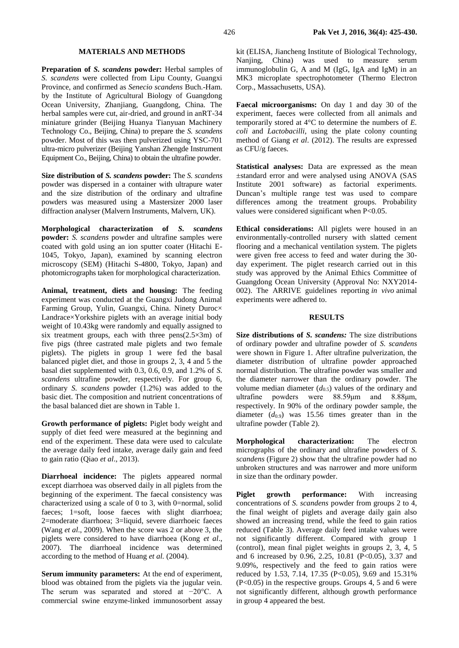#### **MATERIALS AND METHODS**

**Preparation of** *S. scandens* **powder:** Herbal samples of *S. scandens* were collected from Lipu County, Guangxi Province, and confirmed as *Senecio scandens* Buch.-Ham. by the Institute of Agricultural Biology of Guangdong Ocean University, Zhanjiang, Guangdong, China. The herbal samples were cut, air-dried, and ground in anRT-34 miniature grinder (Beijing Huanya Tianyuan Machinery Technology Co., Beijing, China) to prepare the *S. scandens* powder. Most of this was then pulverized using YSC-701 ultra-micro pulverizer (Beijing Yanshan Zhengde Instrument Equipment Co., Beijing, China) to obtain the ultrafine powder.

**Size distribution of** *S. scandens* **powder:** The *S. scandens* powder was dispersed in a container with ultrapure water and the size distribution of the ordinary and ultrafine powders was measured using a Mastersizer 2000 laser diffraction analyser (Malvern Instruments, Malvern, UK).

**Morphological characterization of** *S. scandens*  **powder:** *S. scandens* powder and ultrafine samples were coated with gold using an ion sputter coater (Hitachi E-1045, Tokyo, Japan), examined by scanning electron microscopy (SEM) (Hitachi S-4800, Tokyo, Japan) and photomicrographs taken for morphological characterization.

**Animal, treatment, diets and housing:** The feeding experiment was conducted at the Guangxi Judong Animal Farming Group, Yulin, Guangxi, China. Ninety Duroc× Landrace×Yorkshire piglets with an average initial body weight of 10.43kg were randomly and equally assigned to six treatment groups, each with three  $pens(2.5\times3m)$  of five pigs (three castrated male piglets and two female piglets). The piglets in group 1 were fed the basal balanced piglet diet, and those in groups 2, 3, 4 and 5 the basal diet supplemented with 0.3, 0.6, 0.9, and 1.2% of *S. scandens* ultrafine powder, respectively. For group 6, ordinary *S. scandens* powder (1.2%) was added to the basic diet. The composition and nutrient concentrations of the basal balanced diet are shown in Table 1.

**Growth performance of piglets:** Piglet body weight and supply of diet feed were measured at the beginning and end of the experiment. These data were used to calculate the average daily feed intake, average daily gain and feed to gain ratio (Qiao *et al*., 2013).

**Diarrhoeal incidence:** The piglets appeared normal except diarrhoea was observed daily in all piglets from the beginning of the experiment. The faecal consistency was characterized using a scale of 0 to 3, with 0=normal, solid faeces; 1=soft, loose faeces with slight diarrhoea; 2=moderate diarrhoea; 3=liquid, severe diarrhoeic faeces (Wang *et al*., 2009). When the score was 2 or above 3, the piglets were considered to have diarrhoea (Kong *et al*., 2007). The diarrhoeal incidence was determined according to the method of Huang *et al.* (2004).

**Serum immunity parameters:** At the end of experiment, blood was obtained from the piglets via the jugular vein. The serum was separated and stored at −20°C. A commercial swine enzyme-linked immunosorbent assay kit (ELISA, Jiancheng Institute of Biological Technology, Nanjing, China) was used to measure serum immunoglobulin G, A and M (IgG, IgA and IgM) in an MK3 microplate spectrophotometer (Thermo Electron Corp., Massachusetts, USA).

**Faecal microorganisms:** On day 1 and day 30 of the experiment, faeces were collected from all animals and temporarily stored at 4°C to determine the numbers of *E. coli* and *Lactobacilli*, using the plate colony counting method of Giang *et al*. (2012). The results are expressed as CFU/g faeces.

**Statistical analyses:** Data are expressed as the mean ±standard error and were analysed using ANOVA (SAS Institute 2001 software) as factorial experiments. Duncan's multiple range test was used to compare differences among the treatment groups. Probability values were considered significant when P<0.05.

**Ethical considerations:** All piglets were housed in an environmentally-controlled nursery with slatted cement flooring and a mechanical ventilation system. The piglets were given free access to feed and water during the 30 day experiment. The piglet research carried out in this study was approved by the Animal Ethics Committee of Guangdong Ocean University (Approval No: NXY2014- 002). The ARRIVE guidelines reporting *in vivo* animal experiments were adhered to.

### **RESULTS**

**Size distributions of** *S. scandens:* The size distributions of ordinary powder and ultrafine powder of *S. scandens*  were shown in Figure 1. After ultrafine pulverization, the diameter distribution of ultrafine powder approached normal distribution. The ultrafine powder was smaller and the diameter narrower than the ordinary powder. The volume median diameter  $(d_{0.5})$  values of the ordinary and ultrafine powders were 88.59μm and 8.88μm, respectively. In 90% of the ordinary powder sample, the diameter  $(d_{0.9})$  was 15.56 times greater than in the ultrafine powder (Table 2).

**Morphological characterization:** The electron micrographs of the ordinary and ultrafine powders of *S. scandens* (Figure 2) show that the ultrafine powder had no unbroken structures and was narrower and more uniform in size than the ordinary powder.

**Piglet growth performance:** With increasing concentrations of *S. scandens* powder from groups 2 to 4, the final weight of piglets and average daily gain also showed an increasing trend, while the feed to gain ratios reduced (Table 3). Average daily feed intake values were not significantly different. Compared with group 1 (control), mean final piglet weights in groups 2, 3, 4, 5 and 6 increased by 0.96, 2.25, 10.81 (P<0.05), 3.37 and 9.09%, respectively and the feed to gain ratios were reduced by 1.53, 7.14, 17.35 (P<0.05), 9.69 and 15.31% (P<0.05) in the respective groups. Groups 4, 5 and 6 were not significantly different, although growth performance in group 4 appeared the best.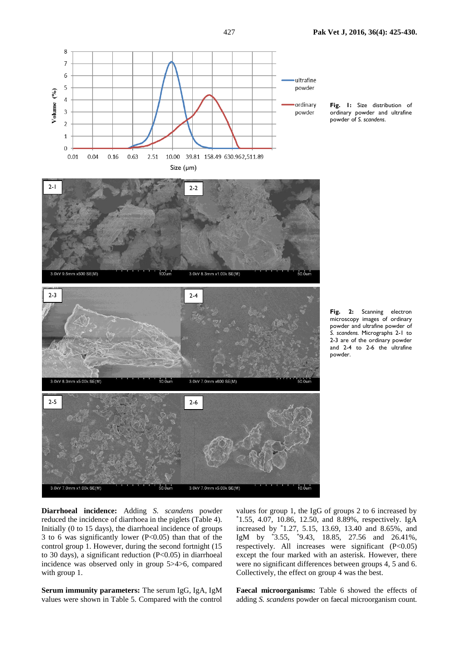



**Fig. 2:** Scanning electron microscopy images of ordinary powder and ultrafine powder of *S. scandens.* Micrographs 2-1 to 2-3 are of the ordinary powder and 2-4 to 2-6 the ultrafine

powder.

**Diarrhoeal incidence:** Adding *S. scandens* powder reduced the incidence of diarrhoea in the piglets (Table 4). Initially (0 to 15 days), the diarrhoeal incidence of groups 3 to 6 was significantly lower (P<0.05) than that of the control group 1. However, during the second fortnight (15 to 30 days), a significant reduction (P<0.05) in diarrhoeal incidence was observed only in group 5>4>6, compared with group 1.

**Serum immunity parameters:** The serum IgG, IgA, IgM values were shown in Table 5. Compared with the control

values for group 1, the IgG of groups 2 to 6 increased by  $*1.55$ , 4.07, 10.86, 12.50, and 8.89%, respectively. IgA increased by \*1.27, 5.15, 13.69, 13.40 and 8.65%, and IgM by \*3.55, \*9.43, 18.85, 27.56 and 26.41%, respectively. All increases were significant (P<0.05) except the four marked with an asterisk. However, there were no significant differences between groups 4, 5 and 6. Collectively, the effect on group 4 was the best.

**Faecal microorganisms:** Table 6 showed the effects of adding *S. scandens* powder on faecal microorganism count.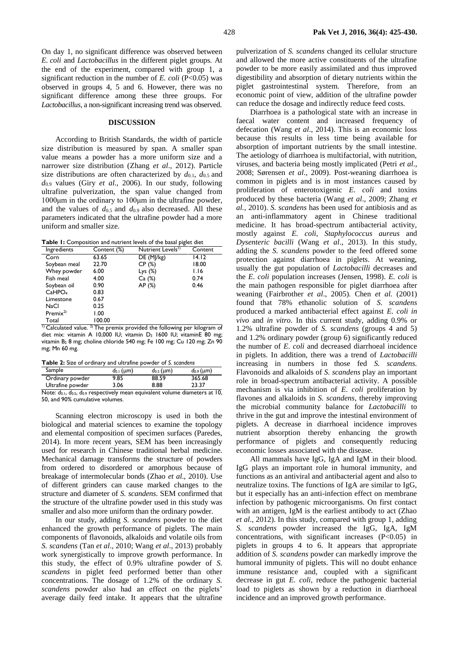On day 1, no significant difference was observed between *E. coli* and *Lactobacillus* in the different piglet groups. At the end of the experiment, compared with group 1, a significant reduction in the number of *E. coli* (P<0.05) was observed in groups 4, 5 and 6. However, there was no significant difference among these three groups. For *Lactobacillus*, a non-significant increasing trend was observed.

#### **DISCUSSION**

According to British Standards, the width of particle size distribution is measured by span. A smaller span value means a powder has a more uniform size and a narrower size distribution (Zhang *et al*., 2012). Particle size distributions are often characterized by  $d_{0,1}$ ,  $d_{0,5}$  and *d*0.9 values (Giry *et al*., 2006). In our study, following ultrafine pulverization, the span value changed from 1000μm in the ordinary to 100μm in the ultrafine powder, and the values of  $d_{0.5}$  and  $d_{0.9}$  also decreased. All these parameters indicated that the ultrafine powder had a more uniform and smaller size.

**Table 1:** Composition and nutrient levels of the basal piglet diet

| Ingredients          | Content (%) | Nutrient Levels <sup>1)</sup> | Content |
|----------------------|-------------|-------------------------------|---------|
| Corn                 | 63.65       | DE (MJ/kg)                    | 14.12   |
| Soybean meal         | 22.70       | CP(%)                         | 18.00   |
| Whey powder          | 6.00        | Lys $(\%)$                    | 1.16    |
| Fish meal            | 4.00        | Ca (%)                        | 0.74    |
| Soybean oil          | 0.90        | AP (%)                        | 0.46    |
| CaHPO <sub>4</sub>   | 0.83        |                               |         |
| Limestone            | 0.67        |                               |         |
| NaCl                 | 0.25        |                               |         |
| Premix <sup>2)</sup> | 1.00        |                               |         |
| Total                | 100.00      |                               |         |

 $1$ <sup>1)</sup> Calculated value. <sup>2)</sup> The premix provided the following per kilogram of diet mix: vitamin A 10,000 IU; vitamin D<sub>3</sub> 1600 IU; vitaminE 80 mg; vitamin B<sub>2</sub> 8 mg; choline chloride 540 mg; Fe 100 mg; Cu 120 mg; Zn 90 mg; Mn 60 mg.

**Table 2:** Size of ordinary and ultrafine powder of *S. scandens*

| Sample           | $d_{0,1}$ (µm) | $d_{0.5}$ (µm) | $d_{0.9}$ (µm) |
|------------------|----------------|----------------|----------------|
| Ordinary powder  | 9.85           | 88.59          | 365.68         |
| Ultrafine powder | 3.06           | 8.88           | 23.37          |
|                  |                |                |                |

Note: *d*0.1, *d*0.5, *d*0.9 respectively mean equivalent volume diameters at 10, 50, and 90% cumulative volumes.

Scanning electron microscopy is used in both the biological and material sciences to examine the topology and elemental composition of specimen surfaces (Paredes, 2014). In more recent years, SEM has been increasingly used for research in Chinese traditional herbal medicine. Mechanical damage transforms the structure of powders from ordered to disordered or amorphous because of breakage of intermolecular bonds (Zhao *et al*., 2010). Use of different grinders can cause marked changes to the structure and diameter of *S. scandens*. SEM confirmed that the structure of the ultrafine powder used in this study was smaller and also more uniform than the ordinary powder.

In our study, adding *S. scandens* powder to the diet enhanced the growth performance of piglets. The main components of flavonoids, alkaloids and volatile oils from *S. scandens* (Tan *et al*., 2010; Wang *et al*., 2013) probably work synergistically to improve growth performance. In this study, the effect of 0.9% ultrafine powder of *S. scandens* in piglet feed performed better than other concentrations. The dosage of 1.2% of the ordinary *S. scandens* powder also had an effect on the piglets' average daily feed intake. It appears that the ultrafine

pulverization of *S. scandens* changed its cellular structure and allowed the more active constituents of the ultrafine powder to be more easily assimilated and thus improved digestibility and absorption of dietary nutrients within the piglet gastrointestinal system. Therefore, from an economic point of view, addition of the ultrafine powder can reduce the dosage and indirectly reduce feed costs.

Diarrhoea is a pathological state with an increase in faecal water content and increased frequency of defecation (Wang *et al*., 2014). This is an economic loss because this results in less time being available for absorption of important nutrients by the small intestine. The aetiology of diarrhoea is multifactorial, with nutrition, viruses, and bacteria being mostly implicated (Petri *et al*., 2008; Sørensen *et al*., 2009). Post-weaning diarrhoea is common in piglets and is in most instances caused by proliferation of enterotoxigenic *E. coli* and toxins produced by these bacteria (Wang *et al*., 2009; Zhang *et al.,* 2010). *S. scandens* has been used for antibiosis and as an anti-inflammatory agent in Chinese traditional medicine. It has broad-spectrum antibacterial activity, mostly against *E. coli*, *Staphylococcus aureus* and *Dysenteric bacilli* (Wang *et al*., 2013). In this study, adding the *S. scandens* powder to the feed offered some protection against diarrhoea in piglets. At weaning, usually the gut population of *Lactobacilli* decreases and the *E*. *coli* population increases (Jensen, 1998). *E. coli* is the main pathogen responsible for piglet diarrhoea after weaning (Fairbrother *et al*., 2005). Chen *et al.* (2001) found that 78% ethanolic solution of *S. scandens* produced a marked antibacterial effect against *E. coli in vivo* and *in vitro*. In this current study, adding 0.9% or 1.2% ultrafine powder of *S. scandens* (groups 4 and 5) and 1.2% ordinary powder (group 6) significantly reduced the number of *E*. *coli* and decreased diarrhoeal incidence in piglets. In addition, there was a trend of *Lactobacilli* increasing in numbers in those fed *S. scandens.*  Flavonoids and alkaloids of *S. scandens* play an important role in broad-spectrum antibacterial activity. A possible mechanism is via inhibition of *E*. *coli* proliferation by flavones and alkaloids in *S. scandens*, thereby improving the microbial community balance for *Lactobacilli* to thrive in the gut and improve the intestinal environment of piglets. A decrease in diarrhoeal incidence improves nutrient absorption thereby enhancing the growth performance of piglets and consequently reducing economic losses associated with the disease.

All mammals have IgG, IgA and IgM in their blood. IgG plays an important role in humoral immunity, and functions as an antiviral and antibacterial agent and also to neutralize toxins. The functions of IgA are similar to IgG, but it especially has an anti-infection effect on membrane infection by pathogenic microorganisms. On first contact with an antigen, IgM is the earliest antibody to act (Zhao *et al*., 2012). In this study, compared with group 1, adding *S. scandens* powder increased the IgG, IgA, IgM concentrations, with significant increases (P<0.05) in piglets in groups 4 to 6. It appears that appropriate addition of *S. scandens* powder can markedly improve the humoral immunity of piglets. This will no doubt enhance immune resistance and, coupled with a significant decrease in gut *E. coli*, reduce the pathogenic bacterial load to piglets as shown by a reduction in diarrhoeal incidence and an improved growth performance.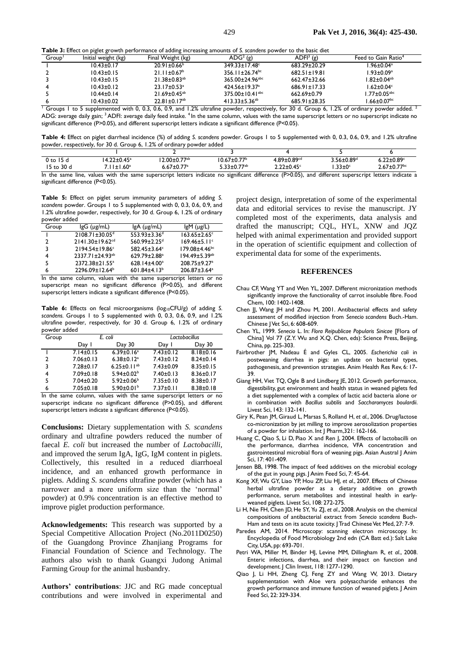**Table 3:** Effect on piglet growth performance of adding increasing amounts of *S. scandens* powder to the basic diet

| Group | Initial weight (kg) | Final Weight (kg)              | $ADG2$ (g)                        | $ADFI3$ (g)        | Feed to Gain Ratio <sup>4</sup> |
|-------|---------------------|--------------------------------|-----------------------------------|--------------------|---------------------------------|
|       | $10.43 \pm 0.17$    | $20.91 \pm 0.66^{\circ}$       | $349.33 \pm 17.48$ <sup>c</sup>   | 683.29±20.29       | $.96 \pm 0.04$ <sup>a</sup>     |
|       | $10.43 \pm 0.15$    | $21.11 \pm 0.67^b$             | $356.11 \pm 26.74$ <sup>bc</sup>  | $682.51 \pm 19.81$ | $1.93 \pm 0.09^a$               |
|       | $10.43 \pm 0.15$    | $21.38 \pm 0.83$ <sup>ab</sup> | 365.00±24.96 <sup>abc</sup>       | $662.47 \pm 32.66$ | $1.82 \pm 0.04^{ab}$            |
|       | $10.43 \pm 0.12$    | $23.17 \pm 0.53$ <sup>a</sup>  | $424.56 \pm 19.37$ <sup>a</sup>   | $686.91 \pm 17.33$ | .62 $\pm$ 0.04 $\textdegree$    |
|       | $10.44 \pm 0.14$    | $21.69 \pm 0.45^{ab}$          | $375.00 \pm 10.41$ <sup>abc</sup> | $662.69 \pm 0.79$  | $1.77 \pm 0.05^{\mathrm{abc}}$  |
|       | $10.43 \pm 0.02$    | $22.81 \pm 0.17$ <sup>ab</sup> | 413.33 $\pm$ 5.36 <sup>ab</sup>   | 685.91±28.35       | $1.66 \pm 0.07$ <sup>bc</sup>   |

 $^{\text{T}}$  Groups 1 to 5 supplemented with 0, 0.3, 0.6, 0.9, and 1.2% ultrafine powder, respectively, for 30 d. Group 6, 1.2% of ordinary powder added.  $^2$ ADG: average daily gain; <sup>3</sup>ADFI: average daily feed intake. <sup>4</sup>In the same column, values with the same superscript letters or no superscript indicate no significant difference (P>0.05), and different superscript letters indicate a significant difference (P<0.05).

**Table 4:** Effect on piglet diarrheal incidence (%) of adding *S. scandens* powder. Groups 1 to 5 supplemented with 0, 0.3, 0.6, 0.9, and 1.2% ultrafine powder, respectively, for 30 d. Group 6, 1.2% of ordinary powder added

| $9$ to 15 $\mu$  | $+22 \pm 0.45^{\circ}$                                                               | $2.00 \pm 0.77$ <sup>ab</sup> | 10.67±0.77 <sup>b</sup>       | $4.89 \pm 0.89$ <sup>cd</sup> | $3.56 \pm 0.89^{\mathrm{d}}$                    | $5.22{\pm}0.89^{\circ}$       |
|------------------|--------------------------------------------------------------------------------------|-------------------------------|-------------------------------|-------------------------------|-------------------------------------------------|-------------------------------|
| 15 to 30 d       | $-1.60$ <sup>a</sup>                                                                 | o.67 $\pm$ 0.77 $^{\circ}$    | $5.33{\pm}0.77^{\mathrm{ab}}$ | $2.22{\pm}0.45^\circ$         | $.33 \pm 0$ <sup>c</sup>                        | $1.67 \pm 0.77$ <sup>bc</sup> |
| In the came line | values with the same superscript letters indicate no significant difference (RSO OE) |                               |                               |                               | different cuperceript letters indicate a<br>nnd |                               |

is with the same superscript letters indicate no significant difference (P>0.05), and different superscript letters indicate a significant difference (P<0.05).

**Table 5:** Effect on piglet serum immunity parameters of adding *S. scandens* powder. Groups 1 to 5 supplemented with 0, 0.3, 0.6, 0.9, and 1.2% ultrafine powder, respectively, for 30 d. Group 6, 1.2% of ordinary powder added

| Group          | $lgG$ ( $\mu$ g/mL)               | $lgA$ ( $\mu$ g/mL)            | $lgM$ ( $\mu$ g/L)              |
|----------------|-----------------------------------|--------------------------------|---------------------------------|
| $\blacksquare$ | $2108.71 \pm 30.05$ <sup>d</sup>  | $553.93 \pm 3.36$ <sup>d</sup> | $163.65 \pm 2.65$ <sup>c</sup>  |
| $\mathcal{P}$  | $2141.30 \pm 19.62$ <sup>cd</sup> | $560.99 \pm 2.25$ <sup>d</sup> | $169.46 \pm 5.11$ <sup>c</sup>  |
| 3              | $2194.54 \pm 19.86$ <sup>c</sup>  | 582.45±3.64°                   | $179.08 \pm 4.46$ <sup>bc</sup> |
| 4              | $2337.71 \pm 24.93^{ab}$          | $629.79 \pm 2.88^a$            | $194.49 \pm 5.39$ <sup>ab</sup> |
| 5              | 2372.38±21.55 <sup>a</sup>        | 628.14±4.00 <sup>a</sup>       | 208.75±9.27 <sup>a</sup>        |
| 6              | 2296.09±12.64 <sup>b</sup>        | 601.84 $\pm$ 4.13 <sup>b</sup> | 206.87±3.64 <sup>a</sup>        |

In the same column, values with the same superscript letters or no superscript mean no significant difference (P>0.05), and different superscript letters indicate a significant difference (P<0.05).

Table 6: Effects on fecal microorganisms (log<sub>10</sub>CFU/g) of adding *S*. *scandens.* Groups 1 to 5 supplemented with 0, 0.3, 0.6, 0.9, and 1.2% ultrafine powder, respectively, for 30 d. Group 6, 1.2% of ordinary powder added

| Group | E. coli         |                               | Lactobacillus   |                 |
|-------|-----------------|-------------------------------|-----------------|-----------------|
|       | Day 1           | Day 30                        | Day I           | Day 30          |
|       | $7.14 \pm 0.15$ | $6.39 \pm 0.16^a$             | $7.43 \pm 0.12$ | $8.18 \pm 0.16$ |
| 2     | $7.06 \pm 0.13$ | $6.38 \pm 0.12$ <sup>a</sup>  | $7.43 \pm 0.12$ | $8.24 \pm 0.14$ |
| 3     | $7.28 \pm 0.17$ | 6.25 $\pm$ 0.11 <sup>ab</sup> | $7.43 \pm 0.09$ | $8.35 \pm 0.15$ |
| 4     | $7.09 \pm 0.18$ | $5.94 \pm 0.02^b$             | $7.40 \pm 0.13$ | $8.36 \pm 0.17$ |
| 5     | $7.04 \pm 0.20$ | $5.92 \pm 0.06^{\circ}$       | $7.35 \pm 0.10$ | $8.38 \pm 0.17$ |
| 6     | $7.05 \pm 0.18$ | 5.90 $\pm$ 0.01 $^{\circ}$    | $7.37 \pm 0.11$ | $8.38 \pm 0.18$ |

In the same column, values with the same superscript letters or no superscript indicate no significant difference (P>0.05), and different superscript letters indicate a significant difference (P<0.05).

**Conclusions:** Dietary supplementation with *S. scandens*  ordinary and ultrafine powders reduced the number of faecal *E. coli* but increased the number of *Lactobacilli*, and improved the serum IgA, IgG, IgM content in piglets. Collectively, this resulted in a reduced diarrhoeal incidence, and an enhanced growth performance in piglets. Adding *S. scandens* ultrafine powder (which has a narrower and a more uniform size than the 'normal' powder) at 0.9% concentration is an effective method to improve piglet production performance.

**Acknowledgements:** This research was supported by a Special Competitive Allocation Project (No.2011D0250) of the Guangdong Province Zhanjiang Programs for Financial Foundation of Science and Technology. The authors also wish to thank Guangxi Judong Animal Farming Group for the animal husbandry.

**Authors' contributions**: JJC and RG made conceptual contributions and were involved in experimental and

project design, interpretation of some of the experimental data and editorial services to revise the manuscript. JY completed most of the experiments, data analysis and drafted the manuscript; CQL, HYL, XNW and JQZ helped with animal experimentation and provided support in the operation of scientific equipment and collection of experimental data for some of the experiments.

#### **REFERENCES**

- Chau CF, Wang YT and Wen YL, 2007. Different micronization methods significantly improve the functionality of carrot insoluble fibre. Food Chem, 100: 1402-1408.
- Chen JJ, Wang JH and Zhou M, 2001. Antibacterial effects and safety assessment of modified injection from *Senecio scandens* Buch.-Ham. Chinese J Vet Sci, 6: 608-609.
- Chen YL, 1999. *Senecio* L. In: *Flora Reipublicae Popularis Sinicae* [Flora of China] Vol 77 (Z.Y. Wu and X.Q. Chen, eds): Science Press, Beijing, China, pp. 225-303.
- Fairbrother JM, Nadeau É and Gyles CL, 2005. *Escherichia coli* in postweaning diarrhea in pigs: an update on bacterial types, pathogenesis, and prevention strategies. Anim Health Res Rev, 6: 17- 39.
- Giang HH, Viet TQ, Ogle B and Lindberg JE, 2012. Growth performance, digestibility, gut environment and health status in weaned piglets fed a diet supplemented with a complex of lactic acid bacteria alone or in combination with *Bacillus subtilis* and *Saccharomyces boulardii*. Livest Sci, 143: 132-141.
- Giry K, Pean JM, Giraud L, Marsas S, Rolland H, *et al.*, 2006. Drug/lactose co-micronization by jet milling to improve aerosolization properties of a powder for inhalation. Int J Pharm,321: 162-166.
- Huang C, Qiao S, Li D, Piao X and Ren J, 2004. Effects of lactobacilli on the performance, diarrhea incidence, VFA concentration and gastrointestinal microbial flora of weaning pigs. Asian Austral J Anim Sci, 17: 401-409.
- Jensen BB, 1998. The impact of feed additives on the microbial ecology of the gut in young pigs. J Anim Feed Sci, 7: 45-64.
- Kong XF, Wu GY, Liao YP, Hou ZP, Liu HJ, *et al.*, 2007. Effects of Chinese herbal ultrafine powder as a dietary additive on growth performance, serum metabolites and intestinal health in earlyweaned piglets. Livest Sci, 108: 272-275.
- Li H, Nie FH, Chen JD, He SY, Yu ZJ, *et al*., 2008. Analysis on the chemical compositions of antibacterial extract from *Senecio scandens* Buch-Ham and tests on its acute toxicity. J Trad Chinese Vet Med, 27: 7-9.
- Paredes AM, 2014. Microscopy: scanning electron microscopy. In: Encyclopedia of Food Microbiology 2nd edn (CA Batt ed.): Salt Lake City, USA, pp: 693-701.
- Petri WA, Miller M, Binder HJ, Levine MM, Dillingham R, *et al*., 2008. Enteric infections, diarrhea, and their impact on function and development. J Clin Invest, I 18: 1277-1290.
- Qiao J, Li HH, Zheng CJ, Feng ZY and Wang W, 2013. Dietary supplementation with Aloe vera polysaccharide enhances the growth performance and immune function of weaned piglets. J Anim Feed Sci, 22: 329-334.